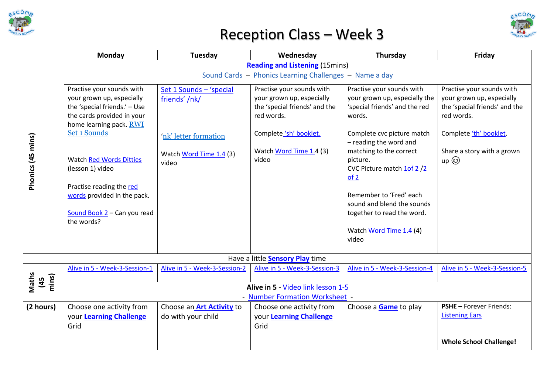





|                                        | Monday                                                                                                                                                                                                                                                                                                                        | Tuesday                                                                                               | Wednesday                                                                                                                                                           | Thursday                                                                                                                                                                                                                                                                                                                                                             | Friday                                                                                                                                                                |  |  |  |  |
|----------------------------------------|-------------------------------------------------------------------------------------------------------------------------------------------------------------------------------------------------------------------------------------------------------------------------------------------------------------------------------|-------------------------------------------------------------------------------------------------------|---------------------------------------------------------------------------------------------------------------------------------------------------------------------|----------------------------------------------------------------------------------------------------------------------------------------------------------------------------------------------------------------------------------------------------------------------------------------------------------------------------------------------------------------------|-----------------------------------------------------------------------------------------------------------------------------------------------------------------------|--|--|--|--|
|                                        | <b>Reading and Listening (15mins)</b>                                                                                                                                                                                                                                                                                         |                                                                                                       |                                                                                                                                                                     |                                                                                                                                                                                                                                                                                                                                                                      |                                                                                                                                                                       |  |  |  |  |
|                                        | Sound Cards -<br>Phonics Learning Challenges -<br>Name a day                                                                                                                                                                                                                                                                  |                                                                                                       |                                                                                                                                                                     |                                                                                                                                                                                                                                                                                                                                                                      |                                                                                                                                                                       |  |  |  |  |
| Phonics (45 mins)                      | Practise your sounds with<br>your grown up, especially<br>the 'special friends.' - Use<br>the cards provided in your<br>home learning pack. RWI<br>Set 1 Sounds<br><b>Watch Red Words Ditties</b><br>(lesson 1) video<br>Practise reading the red<br>words provided in the pack.<br>Sound Book 2 - Can you read<br>the words? | Set 1 Sounds - 'special<br>friends' /nk/<br>'nk' letter formation<br>Watch Word Time 1.4 (3)<br>video | Practise your sounds with<br>your grown up, especially<br>the 'special friends' and the<br>red words.<br>Complete 'sh' booklet.<br>Watch Word Time 1.4 (3)<br>video | Practise your sounds with<br>your grown up, especially the<br>'special friends' and the red<br>words.<br>Complete cvc picture match<br>- reading the word and<br>matching to the correct<br>picture.<br>CVC Picture match 1of 2/2<br>of 2<br>Remember to 'Fred' each<br>sound and blend the sounds<br>together to read the word.<br>Watch Word Time 1.4 (4)<br>video | Practise your sounds with<br>your grown up, especially<br>the 'special friends' and the<br>red words.<br>Complete 'th' booklet.<br>Share a story with a grown<br>up ۞ |  |  |  |  |
| Have a little <b>Sensory Play</b> time |                                                                                                                                                                                                                                                                                                                               |                                                                                                       |                                                                                                                                                                     |                                                                                                                                                                                                                                                                                                                                                                      |                                                                                                                                                                       |  |  |  |  |
|                                        | Alive in 5 - Week-3-Session-1                                                                                                                                                                                                                                                                                                 | Alive in 5 - Week-3-Session-2                                                                         | Alive in 5 - Week-3-Session-3                                                                                                                                       | Alive in 5 - Week-3-Session-4                                                                                                                                                                                                                                                                                                                                        | Alive in 5 - Week-3-Session-5                                                                                                                                         |  |  |  |  |
| Maths<br>mins)<br>45                   | Alive in 5 - Video link lesson 1-5<br>- Number Formation Worksheet -                                                                                                                                                                                                                                                          |                                                                                                       |                                                                                                                                                                     |                                                                                                                                                                                                                                                                                                                                                                      |                                                                                                                                                                       |  |  |  |  |
| (2 hours)                              | Choose one activity from<br>your Learning Challenge<br>Grid                                                                                                                                                                                                                                                                   | Choose an <b>Art Activity</b> to<br>do with your child                                                | Choose one activity from<br>your Learning Challenge<br>Grid                                                                                                         | Choose a <b>Game</b> to play                                                                                                                                                                                                                                                                                                                                         | <b>PSHE - Forever Friends:</b><br><b>Listening Ears</b>                                                                                                               |  |  |  |  |
|                                        |                                                                                                                                                                                                                                                                                                                               |                                                                                                       |                                                                                                                                                                     |                                                                                                                                                                                                                                                                                                                                                                      | <b>Whole School Challenge!</b>                                                                                                                                        |  |  |  |  |